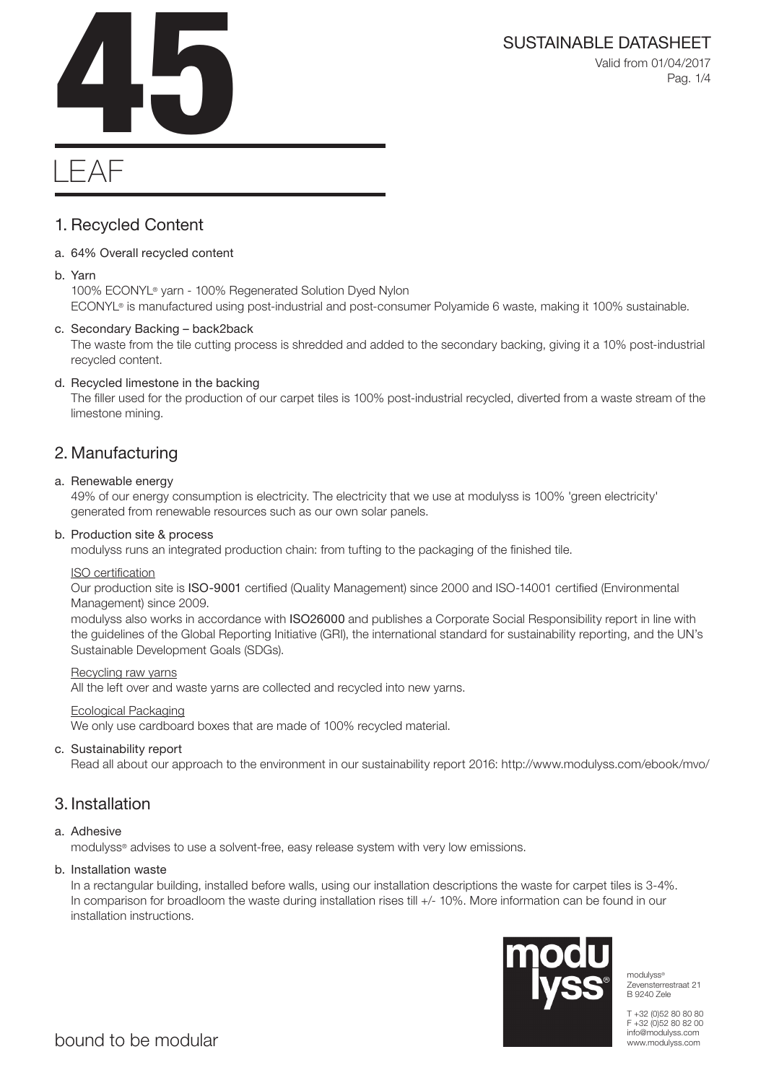Valid from 01/04/2017 Pag. 1/4



# LEAF

## 1. Recycled Content

### a. 64% Overall recycled content

### b. Yarn

100% ECONYL® yarn - 100% Regenerated Solution Dyed Nylon ECONYL® is manufactured using post-industrial and post-consumer Polyamide 6 waste, making it 100% sustainable.

### c. Secondary Backing – back2back

The waste from the tile cutting process is shredded and added to the secondary backing, giving it a 10% post-industrial recycled content.

### d. Recycled limestone in the backing

The filler used for the production of our carpet tiles is 100% post-industrial recycled, diverted from a waste stream of the limestone mining.

### 2. Manufacturing

### a. Renewable energy

49% of our energy consumption is electricity. The electricity that we use at modulyss is 100% 'green electricity' generated from renewable resources such as our own solar panels.

### b. Production site & process

modulyss runs an integrated production chain: from tufting to the packaging of the finished tile.

### ISO certification

Our production site is ISO-9001 certified (Quality Management) since 2000 and ISO-14001 certified (Environmental Management) since 2009.

modulyss also works in accordance with ISO26000 and publishes a Corporate Social Responsibility report in line with the guidelines of the Global Reporting Initiative (GRI), the international standard for sustainability reporting, and the UN's Sustainable Development Goals (SDGs).

### Recycling raw yarns

All the left over and waste yarns are collected and recycled into new yarns.

### Ecological Packaging

We only use cardboard boxes that are made of 100% recycled material.

### c. Sustainability report

Read all about our approach to the environment in our sustainability report 2016: http://www.modulyss.com/ebook/mvo/

### 3. Installation

### a. Adhesive

modulyss® advises to use a solvent-free, easy release system with very low emissions.

### b. Installation waste

In a rectangular building, installed before walls, using our installation descriptions the waste for carpet tiles is 3-4%. In comparison for broadloom the waste during installation rises till +/- 10%. More information can be found in our installation instructions.



modulyss® Zevensterrestraat 21 B 9240 Zele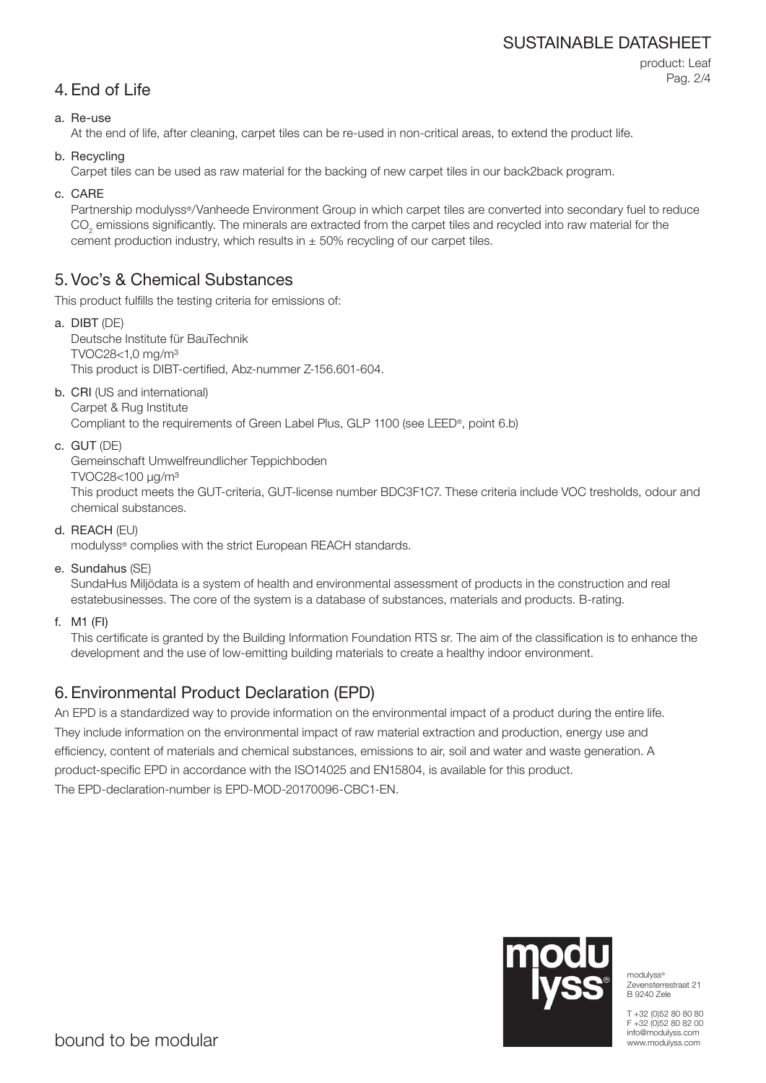### SUSTAINABLE DATASHEET

```
4. End of Life
```
product: Leaf Pag. 2/4

### a. Re-use

At the end of life, after cleaning, carpet tiles can be re-used in non-critical areas, to extend the product life.

b. Recycling

Carpet tiles can be used as raw material for the backing of new carpet tiles in our back2back program.

c. CARE

Partnership modulyss®/Vanheede Environment Group in which carpet tiles are converted into secondary fuel to reduce  $\mathrm{CO}_2$  emissions significantly. The minerals are extracted from the carpet tiles and recycled into raw material for the cement production industry, which results in  $\pm$  50% recycling of our carpet tiles.

### 5. Voc's & Chemical Substances

This product fulfills the testing criteria for emissions of:

- a. DIBT (DE) Deutsche Institute für BauTechnik TVOC28<1,0 mg/m³ This product is DIBT-certified, Abz-nummer Z-156.601-604.
- b. CRI (US and international)

Carpet & Rug Institute Compliant to the requirements of Green Label Plus, GLP 1100 (see LEED®, point 6.b)

c. GUT (DE)

Gemeinschaft Umwelfreundlicher Teppichboden

TVOC28<100 μg/m³

This product meets the GUT-criteria, GUT-license number BDC3F1C7. These criteria include VOC tresholds, odour and chemical substances.

d. REACH (EU)

modulyss® complies with the strict European REACH standards.

e. Sundahus (SE)

SundaHus Miljödata is a system of health and environmental assessment of products in the construction and real estatebusinesses. The core of the system is a database of substances, materials and products. B-rating.

f. M1 (FI)

This certificate is granted by the Building Information Foundation RTS sr. The aim of the classification is to enhance the development and the use of low-emitting building materials to create a healthy indoor environment.

## 6. Environmental Product Declaration (EPD)

An EPD is a standardized way to provide information on the environmental impact of a product during the entire life. They include information on the environmental impact of raw material extraction and production, energy use and efficiency, content of materials and chemical substances, emissions to air, soil and water and waste generation. A product-specific EPD in accordance with the ISO14025 and EN15804, is available for this product. The EPD-declaration-number is EPD-MOD-20170096-CBC1-EN.



modulyss® Zevensterrestraat 21 B 9240 Zele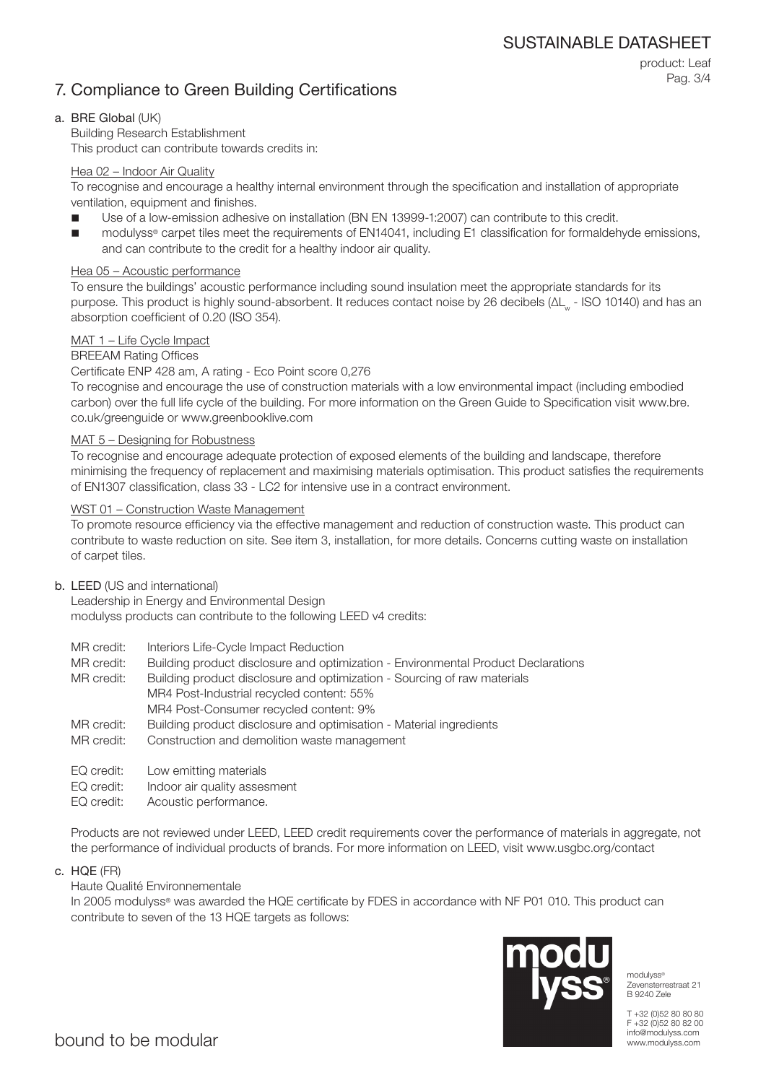### 7. Compliance to Green Building Certifications

product: Leaf Pag. 3/4

### a. BRE Global (UK)

Building Research Establishment This product can contribute towards credits in:

### Hea 02 – Indoor Air Quality

To recognise and encourage a healthy internal environment through the specification and installation of appropriate ventilation, equipment and finishes.

- Use of a low-emission adhesive on installation (BN EN 13999-1:2007) can contribute to this credit.
- modulyss® carpet tiles meet the requirements of EN14041, including E1 classification for formaldehyde emissions, and can contribute to the credit for a healthy indoor air quality.

#### Hea 05 – Acoustic performance

To ensure the buildings' acoustic performance including sound insulation meet the appropriate standards for its purpose. This product is highly sound-absorbent. It reduces contact noise by 26 decibels (ΔL<sub>w</sub> - ISO 10140) and has an absorption coefficient of 0.20 (ISO 354).

#### MAT 1 – Life Cycle Impact

#### BREEAM Rating Offices

#### Certificate ENP 428 am, A rating - Eco Point score 0,276

To recognise and encourage the use of construction materials with a low environmental impact (including embodied carbon) over the full life cycle of the building. For more information on the Green Guide to Specification visit www.bre. co.uk/greenguide or www.greenbooklive.com

#### MAT 5 – Designing for Robustness

To recognise and encourage adequate protection of exposed elements of the building and landscape, therefore minimising the frequency of replacement and maximising materials optimisation. This product satisfies the requirements of EN1307 classification, class 33 - LC2 for intensive use in a contract environment.

#### WST 01 – Construction Waste Management

To promote resource efficiency via the effective management and reduction of construction waste. This product can contribute to waste reduction on site. See item 3, installation, for more details. Concerns cutting waste on installation of carpet tiles.

#### b. LEED (US and international)

Leadership in Energy and Environmental Design modulyss products can contribute to the following LEED v4 credits:

- MR credit: Interiors Life-Cycle Impact Reduction
- MR credit: Building product disclosure and optimization Environmental Product Declarations

MR credit: Building product disclosure and optimization - Sourcing of raw materials MR4 Post-Industrial recycled content: 55% MR4 Post-Consumer recycled content: 9%

- MR credit: Building product disclosure and optimisation Material ingredients
- MR credit: Construction and demolition waste management
- EQ credit: Low emitting materials
- EQ credit: Indoor air quality assesment
- EQ credit: Acoustic performance.

Products are not reviewed under LEED, LEED credit requirements cover the performance of materials in aggregate, not the performance of individual products of brands. For more information on LEED, visit www.usgbc.org/contact

c. HQE (FR)

### Haute Qualité Environnementale

In 2005 modulyss® was awarded the HQE certificate by FDES in accordance with NF P01 010. This product can contribute to seven of the 13 HQE targets as follows:



modulyss® Zevensterrestraat 21 B 9240 Zele